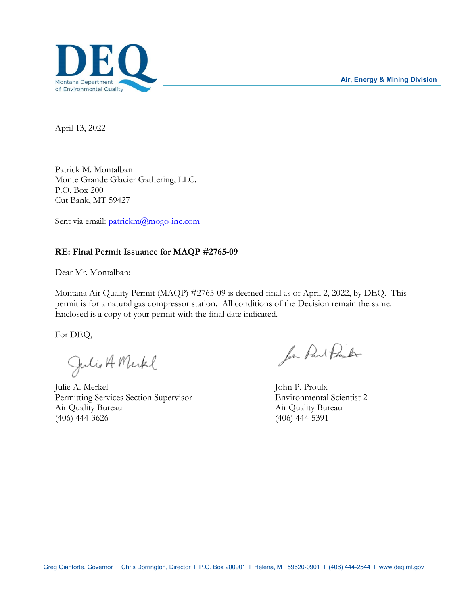

April 13, 2022

Patrick M. Montalban Monte Grande Glacier Gathering, LLC. P.O. Box 200 Cut Bank, MT 59427

Sent via email: [patrickm@mogo-inc.com](mailto:patrickm@mogo-inc.com)

## **RE: Final Permit Issuance for MAQP #2765-09**

Dear Mr. Montalban:

Montana Air Quality Permit (MAQP) #2765-09 is deemed final as of April 2, 2022, by DEQ. This permit is for a natural gas compressor station. All conditions of the Decision remain the same. Enclosed is a copy of your permit with the final date indicated.

For DEQ,

Julio A Merkel

Julie A. Merkel John P. Proulx Permitting Services Section Supervisor Environmental Scientist 2 Air Quality Bureau Air Quality Bureau (406) 444-3626 (406) 444-5391

for Part Proster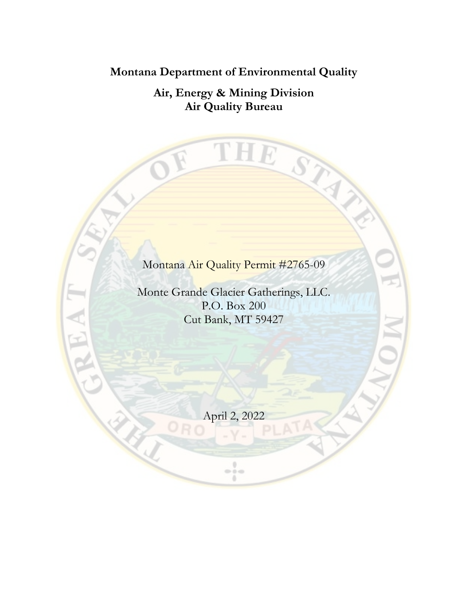**Montana Department of Environmental Quality**

**Air, Energy & Mining Division Air Quality Bureau**

T

 $\perp E$ 

STAN

Montana Air Quality Permit #2765-09

Monte Grande Glacier Gatherings, LLC. P.O. Box 200 Cut Bank, MT 59427

April 2, 2022

 $\frac{1}{2}$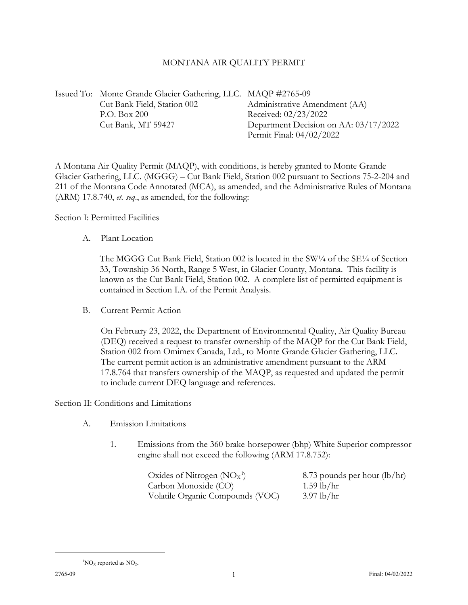## MONTANA AIR QUALITY PERMIT

Issued To: Monte Grande Glacier Gathering, LLC. MAQP #2765-09 Cut Bank Field, Station 002 Administrative Amendment (AA) P.O. Box 200 Received: 02/23/2022 Cut Bank, MT 59427 Department Decision on AA: 03/17/2022 Permit Final: 04/02/2022

A Montana Air Quality Permit (MAQP), with conditions, is hereby granted to Monte Grande Glacier Gathering, LLC. (MGGG) – Cut Bank Field, Station 002 pursuant to Sections 75-2-204 and 211 of the Montana Code Annotated (MCA), as amended, and the Administrative Rules of Montana (ARM) 17.8.740, *et. seq*., as amended, for the following:

Section I: Permitted Facilities

A. Plant Location

The MGGG Cut Bank Field, Station 002 is located in the SW $\frac{1}{4}$  of the SE $\frac{1}{4}$  of Section 33, Township 36 North, Range 5 West, in Glacier County, Montana. This facility is known as the Cut Bank Field, Station 002. A complete list of permitted equipment is contained in Section I.A. of the Permit Analysis.

B. Current Permit Action

On February 23, 2022, the Department of Environmental Quality, Air Quality Bureau (DEQ) received a request to transfer ownership of the MAQP for the Cut Bank Field, Station 002 from Omimex Canada, Ltd., to Monte Grande Glacier Gathering, LLC. The current permit action is an administrative amendment pursuant to the ARM 17.8.764 that transfers ownership of the MAQP, as requested and updated the permit to include current DEQ language and references.

Section II: Conditions and Limitations

- A. Emission Limitations
	- 1. Emissions from the 360 brake-horsepower (bhp) White Superior compressor engine shall not exceed the following (ARM 17.8.752):

| Oxides of Nitrogen $(NO_X^1)$    | 8.73 pounds per hour $(lb/hr)$ |
|----------------------------------|--------------------------------|
| Carbon Monoxide (CO)             | $1.59$ lb/hr                   |
| Volatile Organic Compounds (VOC) | $3.97$ lb/hr                   |

<span id="page-2-0"></span> ${}^{1}NOx$  reported as  $NO<sub>2</sub>$ .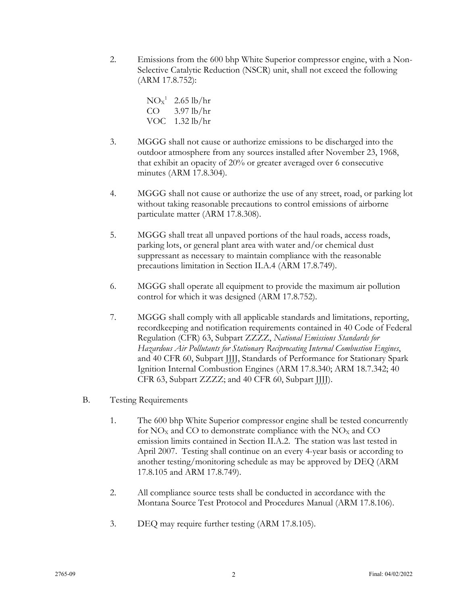2. Emissions from the 600 bhp White Superior compressor engine, with a Non-Selective Catalytic Reduction (NSCR) unit, shall not exceed the following (ARM 17.8.752):

> $NOx^1$  2.65 lb/hr  $CO$  3.97 lb/hr VOC 1.32 lb/hr

- 3. MGGG shall not cause or authorize emissions to be discharged into the outdoor atmosphere from any sources installed after November 23, 1968, that exhibit an opacity of 20% or greater averaged over 6 consecutive minutes (ARM 17.8.304).
- 4. MGGG shall not cause or authorize the use of any street, road, or parking lot without taking reasonable precautions to control emissions of airborne particulate matter (ARM 17.8.308).
- 5. MGGG shall treat all unpaved portions of the haul roads, access roads, parking lots, or general plant area with water and/or chemical dust suppressant as necessary to maintain compliance with the reasonable precautions limitation in Section II.A.4 (ARM 17.8.749).
- 6. MGGG shall operate all equipment to provide the maximum air pollution control for which it was designed (ARM 17.8.752).
- 7. MGGG shall comply with all applicable standards and limitations, reporting, recordkeeping and notification requirements contained in 40 Code of Federal Regulation (CFR) 63, Subpart ZZZZ, *National Emissions Standards for Hazardous Air Pollutants for Stationary Reciprocating Internal Combustion Engines*, and 40 CFR 60, Subpart JJJJ, Standards of Performance for Stationary Spark Ignition Internal Combustion Engines (ARM 17.8.340; ARM 18.7.342; 40 CFR 63, Subpart ZZZZ; and 40 CFR 60, Subpart JJJJ).
- B. Testing Requirements
	- 1. The 600 bhp White Superior compressor engine shall be tested concurrently for  $NO<sub>x</sub>$  and CO to demonstrate compliance with the  $NO<sub>x</sub>$  and CO emission limits contained in Section II.A.2. The station was last tested in April 2007. Testing shall continue on an every 4-year basis or according to another testing/monitoring schedule as may be approved by DEQ (ARM 17.8.105 and ARM 17.8.749).
	- 2. All compliance source tests shall be conducted in accordance with the Montana Source Test Protocol and Procedures Manual (ARM 17.8.106).
	- 3. DEQ may require further testing (ARM 17.8.105).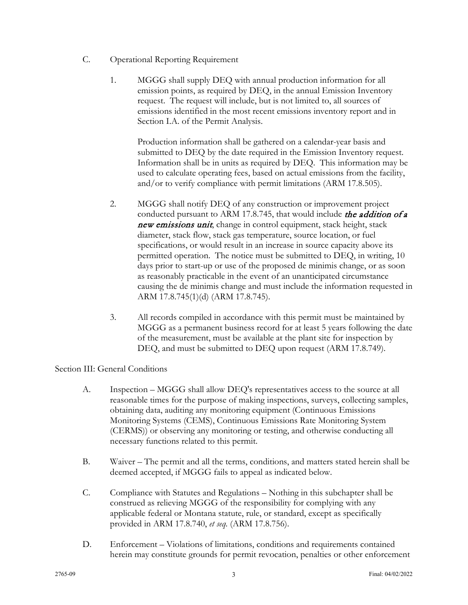- C. Operational Reporting Requirement
	- 1. MGGG shall supply DEQ with annual production information for all emission points, as required by DEQ, in the annual Emission Inventory request. The request will include, but is not limited to, all sources of emissions identified in the most recent emissions inventory report and in Section I.A. of the Permit Analysis.

Production information shall be gathered on a calendar-year basis and submitted to DEQ by the date required in the Emission Inventory request. Information shall be in units as required by DEQ. This information may be used to calculate operating fees, based on actual emissions from the facility, and/or to verify compliance with permit limitations (ARM 17.8.505).

- 2. MGGG shall notify DEQ of any construction or improvement project conducted pursuant to ARM 17.8.745, that would include the addition of a new emissions unit, change in control equipment, stack height, stack diameter, stack flow, stack gas temperature, source location, or fuel specifications, or would result in an increase in source capacity above its permitted operation. The notice must be submitted to DEQ, in writing, 10 days prior to start-up or use of the proposed de minimis change, or as soon as reasonably practicable in the event of an unanticipated circumstance causing the de minimis change and must include the information requested in ARM 17.8.745(1)(d) (ARM 17.8.745).
- 3. All records compiled in accordance with this permit must be maintained by MGGG as a permanent business record for at least 5 years following the date of the measurement, must be available at the plant site for inspection by DEQ, and must be submitted to DEQ upon request (ARM 17.8.749).

## Section III: General Conditions

- A. Inspection MGGG shall allow DEQ's representatives access to the source at all reasonable times for the purpose of making inspections, surveys, collecting samples, obtaining data, auditing any monitoring equipment (Continuous Emissions Monitoring Systems (CEMS), Continuous Emissions Rate Monitoring System (CERMS)) or observing any monitoring or testing, and otherwise conducting all necessary functions related to this permit.
- B. Waiver The permit and all the terms, conditions, and matters stated herein shall be deemed accepted, if MGGG fails to appeal as indicated below.
- C. Compliance with Statutes and Regulations Nothing in this subchapter shall be construed as relieving MGGG of the responsibility for complying with any applicable federal or Montana statute, rule, or standard, except as specifically provided in ARM 17.8.740, *et seq.* (ARM 17.8.756).
- D. Enforcement Violations of limitations, conditions and requirements contained herein may constitute grounds for permit revocation, penalties or other enforcement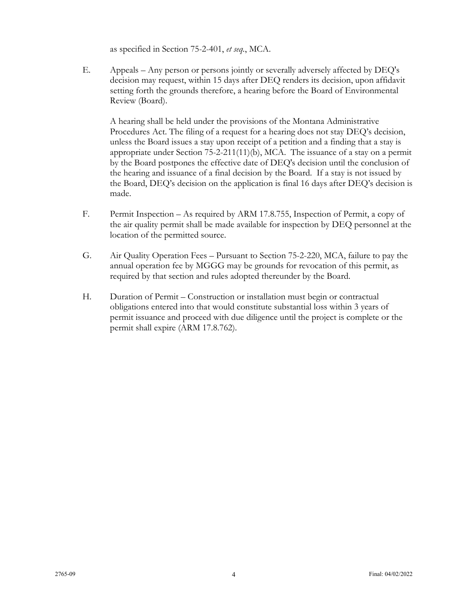as specified in Section 75-2-401, *et seq.*, MCA.

E. Appeals – Any person or persons jointly or severally adversely affected by DEQ's decision may request, within 15 days after DEQ renders its decision, upon affidavit setting forth the grounds therefore, a hearing before the Board of Environmental Review (Board).

A hearing shall be held under the provisions of the Montana Administrative Procedures Act. The filing of a request for a hearing does not stay DEQ's decision, unless the Board issues a stay upon receipt of a petition and a finding that a stay is appropriate under Section 75-2-211(11)(b), MCA. The issuance of a stay on a permit by the Board postpones the effective date of DEQ's decision until the conclusion of the hearing and issuance of a final decision by the Board. If a stay is not issued by the Board, DEQ's decision on the application is final 16 days after DEQ's decision is made.

- F. Permit Inspection As required by ARM 17.8.755, Inspection of Permit, a copy of the air quality permit shall be made available for inspection by DEQ personnel at the location of the permitted source.
- G. Air Quality Operation Fees Pursuant to Section 75-2-220, MCA, failure to pay the annual operation fee by MGGG may be grounds for revocation of this permit, as required by that section and rules adopted thereunder by the Board.
- H. Duration of Permit Construction or installation must begin or contractual obligations entered into that would constitute substantial loss within 3 years of permit issuance and proceed with due diligence until the project is complete or the permit shall expire (ARM 17.8.762).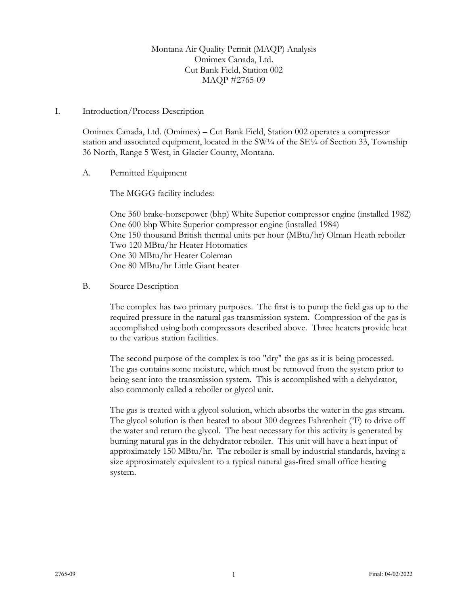Montana Air Quality Permit (MAQP) Analysis Omimex Canada, Ltd. Cut Bank Field, Station 002 MAQP #2765-09

#### I. Introduction/Process Description

Omimex Canada, Ltd. (Omimex) – Cut Bank Field, Station 002 operates a compressor station and associated equipment, located in the SW $\frac{1}{4}$  of the SE $\frac{1}{4}$  of Section 33, Township 36 North, Range 5 West, in Glacier County, Montana.

#### A. Permitted Equipment

The MGGG facility includes:

One 360 brake-horsepower (bhp) White Superior compressor engine (installed 1982) One 600 bhp White Superior compressor engine (installed 1984) One 150 thousand British thermal units per hour (MBtu/hr) Olman Heath reboiler Two 120 MBtu/hr Heater Hotomatics One 30 MBtu/hr Heater Coleman One 80 MBtu/hr Little Giant heater

B. Source Description

The complex has two primary purposes. The first is to pump the field gas up to the required pressure in the natural gas transmission system. Compression of the gas is accomplished using both compressors described above. Three heaters provide heat to the various station facilities.

The second purpose of the complex is too "dry" the gas as it is being processed. The gas contains some moisture, which must be removed from the system prior to being sent into the transmission system. This is accomplished with a dehydrator, also commonly called a reboiler or glycol unit.

The gas is treated with a glycol solution, which absorbs the water in the gas stream. The glycol solution is then heated to about 300 degrees Fahrenheit (°F) to drive off the water and return the glycol. The heat necessary for this activity is generated by burning natural gas in the dehydrator reboiler. This unit will have a heat input of approximately 150 MBtu/hr. The reboiler is small by industrial standards, having a size approximately equivalent to a typical natural gas-fired small office heating system.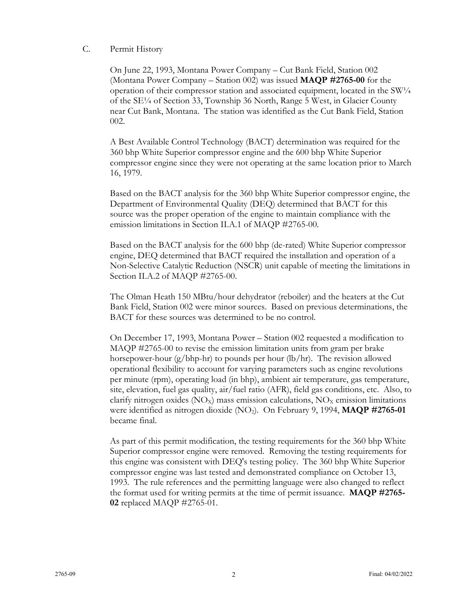### C. Permit History

On June 22, 1993, Montana Power Company – Cut Bank Field, Station 002 (Montana Power Company – Station 002) was issued **MAQP #2765-00** for the operation of their compressor station and associated equipment, located in the SW<sup>1</sup>/4 of the SE¼ of Section 33, Township 36 North, Range 5 West, in Glacier County near Cut Bank, Montana. The station was identified as the Cut Bank Field, Station 002.

A Best Available Control Technology (BACT) determination was required for the 360 bhp White Superior compressor engine and the 600 bhp White Superior compressor engine since they were not operating at the same location prior to March 16, 1979.

Based on the BACT analysis for the 360 bhp White Superior compressor engine, the Department of Environmental Quality (DEQ) determined that BACT for this source was the proper operation of the engine to maintain compliance with the emission limitations in Section II.A.1 of MAQP #2765-00.

Based on the BACT analysis for the 600 bhp (de-rated) White Superior compressor engine, DEQ determined that BACT required the installation and operation of a Non-Selective Catalytic Reduction (NSCR) unit capable of meeting the limitations in Section II.A.2 of MAQP #2765-00.

The Olman Heath 150 MBtu/hour dehydrator (reboiler) and the heaters at the Cut Bank Field, Station 002 were minor sources. Based on previous determinations, the BACT for these sources was determined to be no control.

On December 17, 1993, Montana Power – Station 002 requested a modification to MAQP #2765-00 to revise the emission limitation units from gram per brake horsepower-hour (g/bhp-hr) to pounds per hour (lb/hr). The revision allowed operational flexibility to account for varying parameters such as engine revolutions per minute (rpm), operating load (in bhp), ambient air temperature, gas temperature, site, elevation, fuel gas quality, air/fuel ratio (AFR), field gas conditions, etc. Also, to clarify nitrogen oxides ( $NO_X$ ) mass emission calculations,  $NO_X$  emission limitations were identified as nitrogen dioxide (NO2). On February 9, 1994, **MAQP #2765-01** became final.

As part of this permit modification, the testing requirements for the 360 bhp White Superior compressor engine were removed. Removing the testing requirements for this engine was consistent with DEQ's testing policy. The 360 bhp White Superior compressor engine was last tested and demonstrated compliance on October 13, 1993. The rule references and the permitting language were also changed to reflect the format used for writing permits at the time of permit issuance. **MAQP #2765- 02** replaced MAQP #2765-01.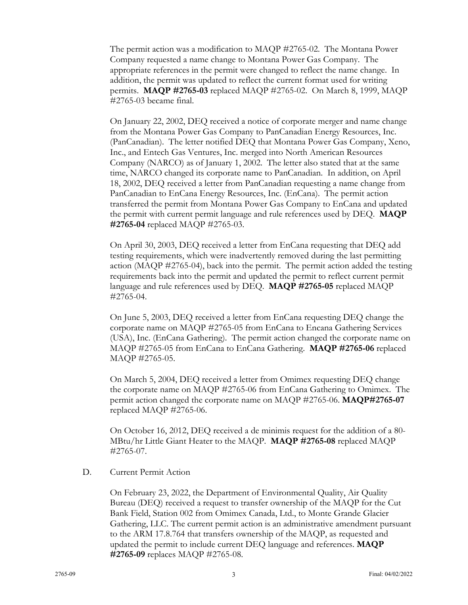The permit action was a modification to MAQP #2765-02. The Montana Power Company requested a name change to Montana Power Gas Company. The appropriate references in the permit were changed to reflect the name change. In addition, the permit was updated to reflect the current format used for writing permits. **MAQP #2765-03** replaced MAQP #2765-02. On March 8, 1999, MAQP #2765-03 became final.

On January 22, 2002, DEQ received a notice of corporate merger and name change from the Montana Power Gas Company to PanCanadian Energy Resources, Inc. (PanCanadian). The letter notified DEQ that Montana Power Gas Company, Xeno, Inc., and Entech Gas Ventures, Inc. merged into North American Resources Company (NARCO) as of January 1, 2002. The letter also stated that at the same time, NARCO changed its corporate name to PanCanadian. In addition, on April 18, 2002, DEQ received a letter from PanCanadian requesting a name change from PanCanadian to EnCana Energy Resources, Inc. (EnCana). The permit action transferred the permit from Montana Power Gas Company to EnCana and updated the permit with current permit language and rule references used by DEQ. **MAQP #2765-04** replaced MAQP #2765-03.

On April 30, 2003, DEQ received a letter from EnCana requesting that DEQ add testing requirements, which were inadvertently removed during the last permitting action (MAQP #2765-04), back into the permit. The permit action added the testing requirements back into the permit and updated the permit to reflect current permit language and rule references used by DEQ. **MAQP #2765-05** replaced MAQP #2765-04.

On June 5, 2003, DEQ received a letter from EnCana requesting DEQ change the corporate name on MAQP #2765-05 from EnCana to Encana Gathering Services (USA), Inc. (EnCana Gathering). The permit action changed the corporate name on MAQP #2765-05 from EnCana to EnCana Gathering. **MAQP #2765-06** replaced MAQP #2765-05.

On March 5, 2004, DEQ received a letter from Omimex requesting DEQ change the corporate name on MAQP #2765-06 from EnCana Gathering to Omimex. The permit action changed the corporate name on MAQP #2765-06. **MAQP#2765-07** replaced MAQP #2765-06.

On October 16, 2012, DEQ received a de minimis request for the addition of a 80- MBtu/hr Little Giant Heater to the MAQP. **MAQP #2765-08** replaced MAQP #2765-07.

#### D. Current Permit Action

On February 23, 2022, the Department of Environmental Quality, Air Quality Bureau (DEQ) received a request to transfer ownership of the MAQP for the Cut Bank Field, Station 002 from Omimex Canada, Ltd., to Monte Grande Glacier Gathering, LLC. The current permit action is an administrative amendment pursuant to the ARM 17.8.764 that transfers ownership of the MAQP, as requested and updated the permit to include current DEQ language and references. **MAQP #2765-09** replaces MAQP #2765-08.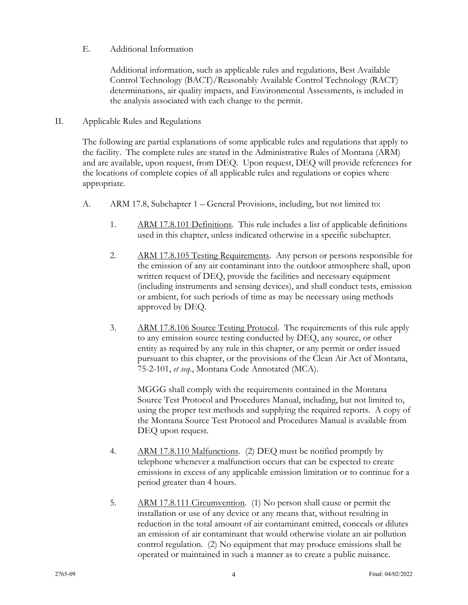## E. Additional Information

Additional information, such as applicable rules and regulations, Best Available Control Technology (BACT)/Reasonably Available Control Technology (RACT) determinations, air quality impacts, and Environmental Assessments, is included in the analysis associated with each change to the permit.

## II. Applicable Rules and Regulations

The following are partial explanations of some applicable rules and regulations that apply to the facility. The complete rules are stated in the Administrative Rules of Montana (ARM) and are available, upon request, from DEQ. Upon request, DEQ will provide references for the locations of complete copies of all applicable rules and regulations or copies where appropriate.

- A. ARM 17.8, Subchapter 1 General Provisions, including, but not limited to:
	- 1. ARM 17.8.101 Definitions. This rule includes a list of applicable definitions used in this chapter, unless indicated otherwise in a specific subchapter.
	- 2. ARM 17.8.105 Testing Requirements. Any person or persons responsible for the emission of any air contaminant into the outdoor atmosphere shall, upon written request of DEQ, provide the facilities and necessary equipment (including instruments and sensing devices), and shall conduct tests, emission or ambient, for such periods of time as may be necessary using methods approved by DEQ.
	- 3. ARM 17.8.106 Source Testing Protocol. The requirements of this rule apply to any emission source testing conducted by DEQ, any source, or other entity as required by any rule in this chapter, or any permit or order issued pursuant to this chapter, or the provisions of the Clean Air Act of Montana, 75-2-101, *et seq*., Montana Code Annotated (MCA).

MGGG shall comply with the requirements contained in the Montana Source Test Protocol and Procedures Manual, including, but not limited to, using the proper test methods and supplying the required reports. A copy of the Montana Source Test Protocol and Procedures Manual is available from DEQ upon request.

- 4. ARM 17.8.110 Malfunctions. (2) DEQ must be notified promptly by telephone whenever a malfunction occurs that can be expected to create emissions in excess of any applicable emission limitation or to continue for a period greater than 4 hours.
- 5. ARM 17.8.111 Circumvention. (1) No person shall cause or permit the installation or use of any device or any means that, without resulting in reduction in the total amount of air contaminant emitted, conceals or dilutes an emission of air contaminant that would otherwise violate an air pollution control regulation. (2) No equipment that may produce emissions shall be operated or maintained in such a manner as to create a public nuisance.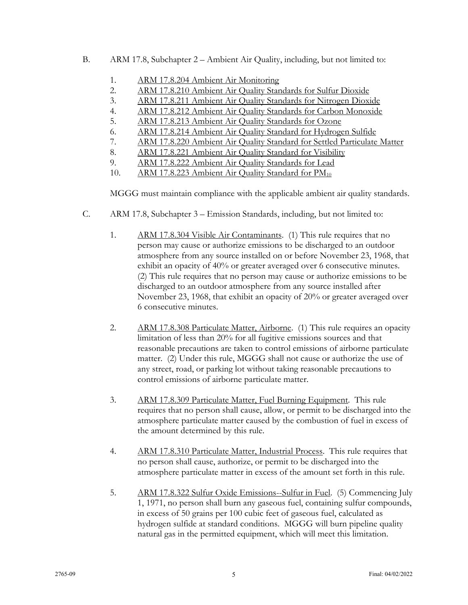- B. ARM 17.8, Subchapter 2 Ambient Air Quality, including, but not limited to:
	- 1. ARM 17.8.204 Ambient Air Monitoring
	- 2. ARM 17.8.210 Ambient Air Quality Standards for Sulfur Dioxide
	- 3. ARM 17.8.211 Ambient Air Quality Standards for Nitrogen Dioxide
	- 4. ARM 17.8.212 Ambient Air Quality Standards for Carbon Monoxide
	- 5. ARM 17.8.213 Ambient Air Quality Standards for Ozone
	- 6. ARM 17.8.214 Ambient Air Quality Standard for Hydrogen Sulfide
	- 7. ARM 17.8.220 Ambient Air Quality Standard for Settled Particulate Matter
	- 8. ARM 17.8.221 Ambient Air Quality Standard for Visibility
	- 9. ARM 17.8.222 Ambient Air Quality Standards for Lead
	- 10. ARM 17.8.223 Ambient Air Quality Standard for PM<sub>10</sub>

MGGG must maintain compliance with the applicable ambient air quality standards.

- C. ARM 17.8, Subchapter 3 Emission Standards, including, but not limited to:
	- 1. ARM 17.8.304 Visible Air Contaminants. (1) This rule requires that no person may cause or authorize emissions to be discharged to an outdoor atmosphere from any source installed on or before November 23, 1968, that exhibit an opacity of 40% or greater averaged over 6 consecutive minutes. (2) This rule requires that no person may cause or authorize emissions to be discharged to an outdoor atmosphere from any source installed after November 23, 1968, that exhibit an opacity of 20% or greater averaged over 6 consecutive minutes.
	- 2. ARM 17.8.308 Particulate Matter, Airborne. (1) This rule requires an opacity limitation of less than 20% for all fugitive emissions sources and that reasonable precautions are taken to control emissions of airborne particulate matter. (2) Under this rule, MGGG shall not cause or authorize the use of any street, road, or parking lot without taking reasonable precautions to control emissions of airborne particulate matter.
	- 3. ARM 17.8.309 Particulate Matter, Fuel Burning Equipment. This rule requires that no person shall cause, allow, or permit to be discharged into the atmosphere particulate matter caused by the combustion of fuel in excess of the amount determined by this rule.
	- 4. ARM 17.8.310 Particulate Matter, Industrial Process. This rule requires that no person shall cause, authorize, or permit to be discharged into the atmosphere particulate matter in excess of the amount set forth in this rule.
	- 5. ARM 17.8.322 Sulfur Oxide Emissions--Sulfur in Fuel. (5) Commencing July 1, 1971, no person shall burn any gaseous fuel, containing sulfur compounds, in excess of 50 grains per 100 cubic feet of gaseous fuel, calculated as hydrogen sulfide at standard conditions. MGGG will burn pipeline quality natural gas in the permitted equipment, which will meet this limitation.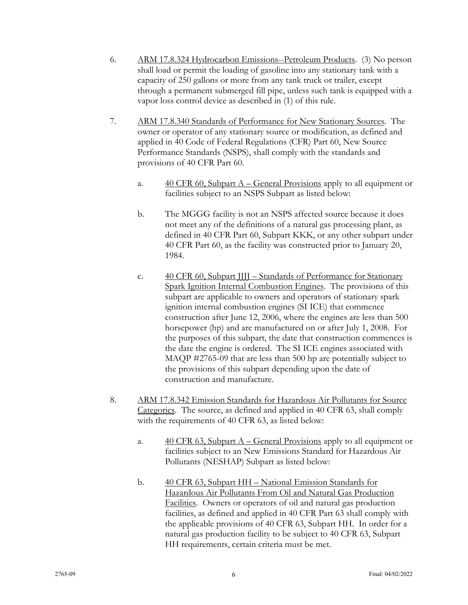- 6. ARM 17.8.324 Hydrocarbon Emissions--Petroleum Products. (3) No person shall load or permit the loading of gasoline into any stationary tank with a capacity of 250 gallons or more from any tank truck or trailer, except through a permanent submerged fill pipe, unless such tank is equipped with a vapor loss control device as described in (1) of this rule.
- 7. ARM 17.8.340 Standards of Performance for New Stationary Sources. The owner or operator of any stationary source or modification, as defined and applied in 40 Code of Federal Regulations (CFR) Part 60, New Source Performance Standards (NSPS), shall comply with the standards and provisions of 40 CFR Part 60.
	- a.  $\frac{40 \text{ CFR } 60, \text{Subpart A} \text{General Provisions apply to all equipment or}}{40 \text{ CFR } 60, \text{Subpart A} \text{General Provisions apply to all equipment or}}$ facilities subject to an NSPS Subpart as listed below:
	- b. The MGGG facility is not an NSPS affected source because it does not meet any of the definitions of a natural gas processing plant, as defined in 40 CFR Part 60, Subpart KKK, or any other subpart under 40 CFR Part 60, as the facility was constructed prior to January 20, 1984.
	- c. 40 CFR 60, Subpart JJJJ Standards of Performance for Stationary Spark Ignition Internal Combustion Engines. The provisions of this subpart are applicable to owners and operators of stationary spark ignition internal combustion engines (SI ICE) that commence construction after June 12, 2006, where the engines are less than 500 horsepower (hp) and are manufactured on or after July 1, 2008. For the purposes of this subpart, the date that construction commences is the date the engine is ordered. The SI ICE engines associated with MAQP #2765-09 that are less than 500 hp are potentially subject to the provisions of this subpart depending upon the date of construction and manufacture.
- 8. ARM 17.8.342 Emission Standards for Hazardous Air Pollutants for Source Categories. The source, as defined and applied in 40 CFR 63, shall comply with the requirements of 40 CFR 63, as listed below:
	- a.  $\frac{40 \text{ CFR } 63, \text{Subpart A} \text{General Provisions apply to all equipment or}}{40 \text{ CFR } 63, \text{Subpart A} \text{General Provisions apply to all equipment or}}$ facilities subject to an New Emissions Standard for Hazardous Air Pollutants (NESHAP) Subpart as listed below:
	- b. 40 CFR 63, Subpart HH National Emission Standards for Hazardous Air Pollutants From Oil and Natural Gas Production Facilities. Owners or operators of oil and natural gas production facilities, as defined and applied in 40 CFR Part 63 shall comply with the applicable provisions of 40 CFR 63, Subpart HH. In order for a natural gas production facility to be subject to 40 CFR 63, Subpart HH requirements, certain criteria must be met.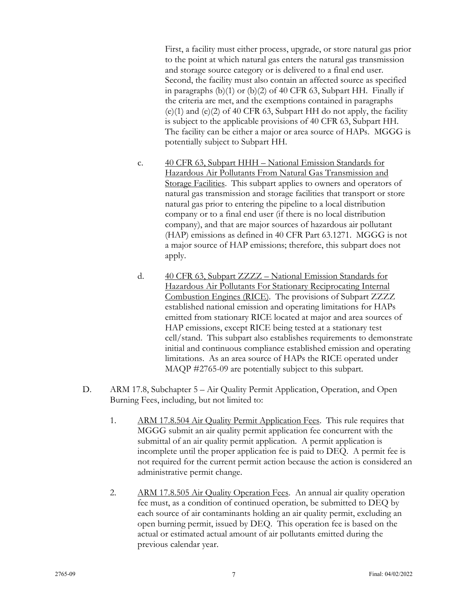First, a facility must either process, upgrade, or store natural gas prior to the point at which natural gas enters the natural gas transmission and storage source category or is delivered to a final end user. Second, the facility must also contain an affected source as specified in paragraphs (b)(1) or (b)(2) of 40 CFR 63, Subpart HH. Finally if the criteria are met, and the exemptions contained in paragraphs  $(e)(1)$  and  $(e)(2)$  of 40 CFR 63, Subpart HH do not apply, the facility is subject to the applicable provisions of 40 CFR 63, Subpart HH. The facility can be either a major or area source of HAPs. MGGG is potentially subject to Subpart HH.

- c. 40 CFR 63, Subpart HHH National Emission Standards for Hazardous Air Pollutants From Natural Gas Transmission and Storage Facilities. This subpart applies to owners and operators of natural gas transmission and storage facilities that transport or store natural gas prior to entering the pipeline to a local distribution company or to a final end user (if there is no local distribution company), and that are major sources of hazardous air pollutant (HAP) emissions as defined in 40 CFR Part 63.1271. MGGG is not a major source of HAP emissions; therefore, this subpart does not apply.
- d. 40 CFR 63, Subpart ZZZZ National Emission Standards for Hazardous Air Pollutants For Stationary Reciprocating Internal Combustion Engines (RICE). The provisions of Subpart ZZZZ established national emission and operating limitations for HAPs emitted from stationary RICE located at major and area sources of HAP emissions, except RICE being tested at a stationary test cell/stand. This subpart also establishes requirements to demonstrate initial and continuous compliance established emission and operating limitations. As an area source of HAPs the RICE operated under MAQP #2765-09 are potentially subject to this subpart.
- D. ARM 17.8, Subchapter 5 Air Quality Permit Application, Operation, and Open Burning Fees, including, but not limited to:
	- 1. ARM 17.8.504 Air Quality Permit Application Fees. This rule requires that MGGG submit an air quality permit application fee concurrent with the submittal of an air quality permit application. A permit application is incomplete until the proper application fee is paid to DEQ. A permit fee is not required for the current permit action because the action is considered an administrative permit change.
	- 2. ARM 17.8.505 Air Quality Operation Fees. An annual air quality operation fee must, as a condition of continued operation, be submitted to DEQ by each source of air contaminants holding an air quality permit, excluding an open burning permit, issued by DEQ. This operation fee is based on the actual or estimated actual amount of air pollutants emitted during the previous calendar year.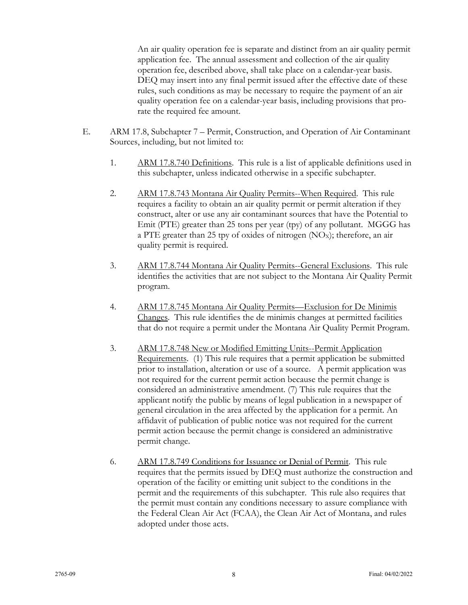An air quality operation fee is separate and distinct from an air quality permit application fee. The annual assessment and collection of the air quality operation fee, described above, shall take place on a calendar-year basis. DEQ may insert into any final permit issued after the effective date of these rules, such conditions as may be necessary to require the payment of an air quality operation fee on a calendar-year basis, including provisions that prorate the required fee amount.

- E. ARM 17.8, Subchapter 7 Permit, Construction, and Operation of Air Contaminant Sources, including, but not limited to:
	- 1. ARM 17.8.740 Definitions. This rule is a list of applicable definitions used in this subchapter, unless indicated otherwise in a specific subchapter.
	- 2. ARM 17.8.743 Montana Air Quality Permits--When Required. This rule requires a facility to obtain an air quality permit or permit alteration if they construct, alter or use any air contaminant sources that have the Potential to Emit (PTE) greater than 25 tons per year (tpy) of any pollutant. MGGG has a PTE greater than 25 tpy of oxides of nitrogen  $(NO<sub>x</sub>)$ ; therefore, an air quality permit is required.
	- 3. ARM 17.8.744 Montana Air Quality Permits--General Exclusions. This rule identifies the activities that are not subject to the Montana Air Quality Permit program.
	- 4. ARM 17.8.745 Montana Air Quality Permits—Exclusion for De Minimis Changes. This rule identifies the de minimis changes at permitted facilities that do not require a permit under the Montana Air Quality Permit Program.
	- 3. ARM 17.8.748 New or Modified Emitting Units--Permit Application Requirements. (1) This rule requires that a permit application be submitted prior to installation, alteration or use of a source. A permit application was not required for the current permit action because the permit change is considered an administrative amendment. (7) This rule requires that the applicant notify the public by means of legal publication in a newspaper of general circulation in the area affected by the application for a permit. An affidavit of publication of public notice was not required for the current permit action because the permit change is considered an administrative permit change.
	- 6. ARM 17.8.749 Conditions for Issuance or Denial of Permit. This rule requires that the permits issued by DEQ must authorize the construction and operation of the facility or emitting unit subject to the conditions in the permit and the requirements of this subchapter. This rule also requires that the permit must contain any conditions necessary to assure compliance with the Federal Clean Air Act (FCAA), the Clean Air Act of Montana, and rules adopted under those acts.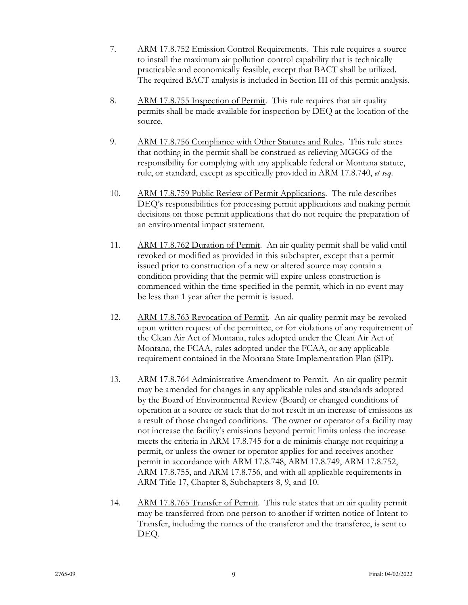- 7. ARM 17.8.752 Emission Control Requirements. This rule requires a source to install the maximum air pollution control capability that is technically practicable and economically feasible, except that BACT shall be utilized. The required BACT analysis is included in Section III of this permit analysis.
- 8. ARM 17.8.755 Inspection of Permit. This rule requires that air quality permits shall be made available for inspection by DEQ at the location of the source.
- 9. ARM 17.8.756 Compliance with Other Statutes and Rules. This rule states that nothing in the permit shall be construed as relieving MGGG of the responsibility for complying with any applicable federal or Montana statute, rule, or standard, except as specifically provided in ARM 17.8.740, *et seq*.
- 10. ARM 17.8.759 Public Review of Permit Applications. The rule describes DEQ's responsibilities for processing permit applications and making permit decisions on those permit applications that do not require the preparation of an environmental impact statement.
- 11. ARM 17.8.762 Duration of Permit. An air quality permit shall be valid until revoked or modified as provided in this subchapter, except that a permit issued prior to construction of a new or altered source may contain a condition providing that the permit will expire unless construction is commenced within the time specified in the permit, which in no event may be less than 1 year after the permit is issued.
- 12. ARM 17.8.763 Revocation of Permit. An air quality permit may be revoked upon written request of the permittee, or for violations of any requirement of the Clean Air Act of Montana, rules adopted under the Clean Air Act of Montana, the FCAA, rules adopted under the FCAA, or any applicable requirement contained in the Montana State Implementation Plan (SIP).
- 13. ARM 17.8.764 Administrative Amendment to Permit. An air quality permit may be amended for changes in any applicable rules and standards adopted by the Board of Environmental Review (Board) or changed conditions of operation at a source or stack that do not result in an increase of emissions as a result of those changed conditions. The owner or operator of a facility may not increase the facility's emissions beyond permit limits unless the increase meets the criteria in ARM 17.8.745 for a de minimis change not requiring a permit, or unless the owner or operator applies for and receives another permit in accordance with ARM 17.8.748, ARM 17.8.749, ARM 17.8.752, ARM 17.8.755, and ARM 17.8.756, and with all applicable requirements in ARM Title 17, Chapter 8, Subchapters 8, 9, and 10.
- 14. ARM 17.8.765 Transfer of Permit. This rule states that an air quality permit may be transferred from one person to another if written notice of Intent to Transfer, including the names of the transferor and the transferee, is sent to DEQ.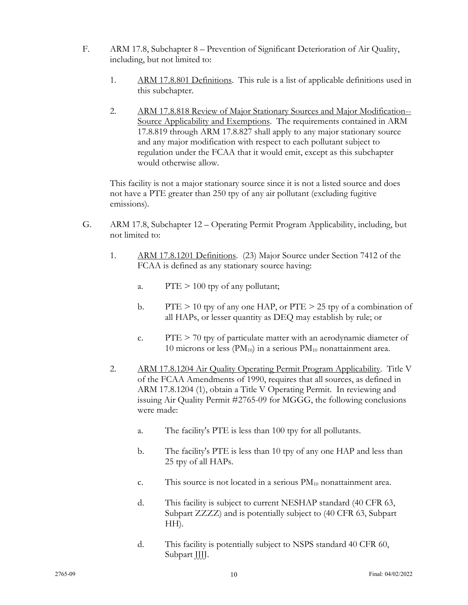- F. ARM 17.8, Subchapter 8 Prevention of Significant Deterioration of Air Quality, including, but not limited to:
	- 1. ARM 17.8.801 Definitions. This rule is a list of applicable definitions used in this subchapter.
	- 2. ARM 17.8.818 Review of Major Stationary Sources and Major Modification-- Source Applicability and Exemptions. The requirements contained in ARM 17.8.819 through ARM 17.8.827 shall apply to any major stationary source and any major modification with respect to each pollutant subject to regulation under the FCAA that it would emit, except as this subchapter would otherwise allow.

This facility is not a major stationary source since it is not a listed source and does not have a PTE greater than 250 tpy of any air pollutant (excluding fugitive emissions).

- G. ARM 17.8, Subchapter 12 Operating Permit Program Applicability, including, but not limited to:
	- 1. ARM 17.8.1201 Definitions. (23) Major Source under Section 7412 of the FCAA is defined as any stationary source having:
		- a.  $PTE > 100$  tpy of any pollutant;
		- b. PTE  $> 10$  tpy of any one HAP, or PTE  $> 25$  tpy of a combination of all HAPs, or lesser quantity as DEQ may establish by rule; or
		- c. PTE  $> 70$  tpy of particulate matter with an aerodynamic diameter of 10 microns or less ( $PM_{10}$ ) in a serious  $PM_{10}$  nonattainment area.
	- 2. ARM 17.8.1204 Air Quality Operating Permit Program Applicability. Title V of the FCAA Amendments of 1990, requires that all sources, as defined in ARM 17.8.1204 (1), obtain a Title V Operating Permit. In reviewing and issuing Air Quality Permit #2765-09 for MGGG, the following conclusions were made:
		- a. The facility's PTE is less than 100 tpy for all pollutants.
		- b. The facility's PTE is less than 10 tpy of any one HAP and less than 25 tpy of all HAPs.
		- c. This source is not located in a serious  $PM_{10}$  nonattainment area.
		- d. This facility is subject to current NESHAP standard (40 CFR 63, Subpart ZZZZ) and is potentially subject to (40 CFR 63, Subpart HH).
		- d. This facility is potentially subject to NSPS standard 40 CFR 60, Subpart JJJJ.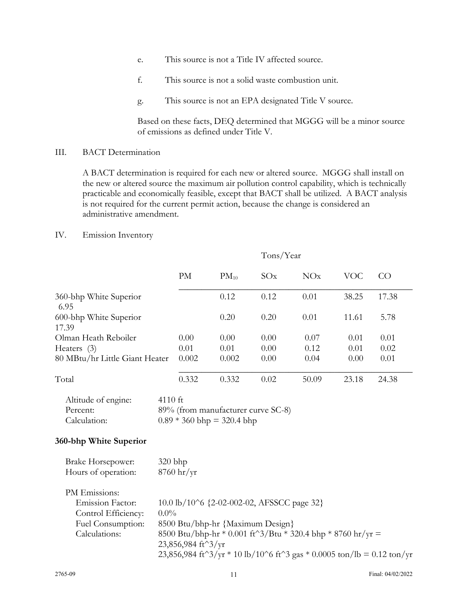- e. This source is not a Title IV affected source.
- f. This source is not a solid waste combustion unit.
- g. This source is not an EPA designated Title V source.

Based on these facts, DEQ determined that MGGG will be a minor source of emissions as defined under Title V.

#### III. BACT Determination

A BACT determination is required for each new or altered source. MGGG shall install on the new or altered source the maximum air pollution control capability, which is technically practicable and economically feasible, except that BACT shall be utilized. A BACT analysis is not required for the current permit action, because the change is considered an administrative amendment.

#### IV. Emission Inventory

|                                                                                                       |                                                                                                                                                                                                                                                                                                           |                                    |                                                                    | Tons/Year |       |            |       |
|-------------------------------------------------------------------------------------------------------|-----------------------------------------------------------------------------------------------------------------------------------------------------------------------------------------------------------------------------------------------------------------------------------------------------------|------------------------------------|--------------------------------------------------------------------|-----------|-------|------------|-------|
|                                                                                                       |                                                                                                                                                                                                                                                                                                           | PM                                 | $PM_{10}$                                                          | SOx       | NOx   | <b>VOC</b> | CO    |
| 360-bhp White Superior<br>6.95                                                                        |                                                                                                                                                                                                                                                                                                           |                                    | 0.12                                                               | 0.12      | 0.01  | 38.25      | 17.38 |
| 600-bhp White Superior<br>17.39                                                                       |                                                                                                                                                                                                                                                                                                           |                                    | 0.20                                                               | 0.20      | 0.01  | 11.61      | 5.78  |
| Olman Heath Reboiler                                                                                  |                                                                                                                                                                                                                                                                                                           | 0.00                               | 0.00                                                               | 0.00      | 0.07  | 0.01       | 0.01  |
| Heaters (3)                                                                                           |                                                                                                                                                                                                                                                                                                           | 0.01                               | 0.01                                                               | 0.00      | 0.12  | 0.01       | 0.02  |
| 80 MBtu/hr Little Giant Heater                                                                        |                                                                                                                                                                                                                                                                                                           | 0.002                              | 0.002                                                              | 0.00      | 0.04  | 0.00       | 0.01  |
| Total                                                                                                 |                                                                                                                                                                                                                                                                                                           | 0.332                              | 0.332                                                              | 0.02      | 50.09 | 23.18      | 24.38 |
| Altitude of engine:<br>Percent:<br>Calculation:<br>360-bhp White Superior                             | 4110 ft                                                                                                                                                                                                                                                                                                   |                                    | 89% (from manufacturer curve SC-8)<br>$0.89 * 360$ bhp = 320.4 bhp |           |       |            |       |
|                                                                                                       |                                                                                                                                                                                                                                                                                                           |                                    |                                                                    |           |       |            |       |
| Brake Horsepower:<br>Hours of operation:                                                              | $320 b$ hp                                                                                                                                                                                                                                                                                                | $8760 \frac{\text{hr}}{\text{yr}}$ |                                                                    |           |       |            |       |
| PM Emissions:<br><b>Emission Factor:</b><br>Control Efficiency:<br>Fuel Consumption:<br>Calculations: | 10.0 lb/10^6 {2-02-002-02, AFSSCC page 32}<br>$0.0\%$<br>8500 Btu/bhp-hr {Maximum Design}<br>8500 Btu/bhp-hr * 0.001 ft^3/Btu * 320.4 bhp * 8760 hr/yr =<br>23,856,984 ft^3/yr<br>23,856,984 ft <sup><math>\gamma</math></sup> 3/yr * 10 lb/10 $\gamma$ 6 ft $\gamma$ 3 gas * 0.0005 ton/lb = 0.12 ton/yr |                                    |                                                                    |           |       |            |       |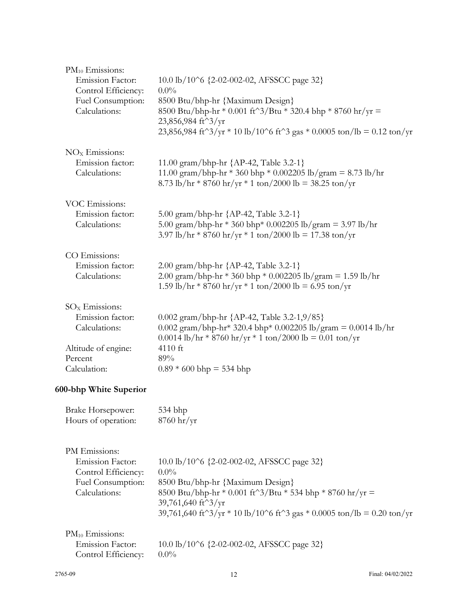| $PM_{10}$ Emissions:<br>Emission Factor:<br>Control Efficiency:<br>Fuel Consumption:<br>Calculations: | 10.0 lb/10^6 {2-02-002-02, AFSSCC page 32}<br>$0.0\%$<br>8500 Btu/bhp-hr {Maximum Design}<br>8500 Btu/bhp-hr * 0.001 ft^3/Btu * 320.4 bhp * 8760 hr/yr =<br>23,856,984 ft <sup>^3</sup> /yr<br>23,856,984 ft <sup><math>\gamma</math></sup> 3/yr * 10 lb/10 $\gamma$ 6 ft $\gamma$ 3 gas * 0.0005 ton/lb = 0.12 ton/yr                                           |
|-------------------------------------------------------------------------------------------------------|------------------------------------------------------------------------------------------------------------------------------------------------------------------------------------------------------------------------------------------------------------------------------------------------------------------------------------------------------------------|
| $NOx$ Emissions:                                                                                      | 11.00 gram/bhp-hr {AP-42, Table 3.2-1}                                                                                                                                                                                                                                                                                                                           |
| Emission factor:                                                                                      | 11.00 gram/bhp-hr * 360 bhp * 0.002205 lb/gram = 8.73 lb/hr                                                                                                                                                                                                                                                                                                      |
| Calculations:                                                                                         | 8.73 lb/hr * 8760 hr/yr * 1 ton/2000 lb = 38.25 ton/yr                                                                                                                                                                                                                                                                                                           |
| VOC Emissions:                                                                                        | 5.00 gram/bhp-hr {AP-42, Table 3.2-1}                                                                                                                                                                                                                                                                                                                            |
| Emission factor:                                                                                      | 5.00 gram/bhp-hr * 360 bhp* 0.002205 lb/gram = 3.97 lb/hr                                                                                                                                                                                                                                                                                                        |
| Calculations:                                                                                         | 3.97 lb/hr * 8760 hr/yr * 1 ton/2000 lb = 17.38 ton/yr                                                                                                                                                                                                                                                                                                           |
| CO Emissions:                                                                                         | 2.00 gram/bhp-hr {AP-42, Table 3.2-1}                                                                                                                                                                                                                                                                                                                            |
| Emission factor:                                                                                      | 2.00 gram/bhp-hr * 360 bhp * 0.002205 lb/gram = 1.59 lb/hr                                                                                                                                                                                                                                                                                                       |
| Calculations:                                                                                         | 1.59 lb/hr * 8760 hr/yr * 1 ton/2000 lb = 6.95 ton/yr                                                                                                                                                                                                                                                                                                            |
| $SOx$ Emissions:                                                                                      | 0.002 gram/bhp-hr ${AP-42, Table 3.2-1,9/85}$                                                                                                                                                                                                                                                                                                                    |
| Emission factor:                                                                                      | 0.002 gram/bhp-hr* 320.4 bhp* 0.002205 lb/gram = 0.0014 lb/hr                                                                                                                                                                                                                                                                                                    |
| Calculations:                                                                                         | $0.0014$ lb/hr * 8760 hr/yr * 1 ton/2000 lb = 0.01 ton/yr                                                                                                                                                                                                                                                                                                        |
| Altitude of engine:                                                                                   | 4110 ft                                                                                                                                                                                                                                                                                                                                                          |
| Percent                                                                                               | 89%                                                                                                                                                                                                                                                                                                                                                              |
| Calculation:                                                                                          | $0.89 * 600$ bhp = 534 bhp                                                                                                                                                                                                                                                                                                                                       |
| 600-bhp White Superior                                                                                |                                                                                                                                                                                                                                                                                                                                                                  |
| Brake Horsepower:                                                                                     | 534 bhp                                                                                                                                                                                                                                                                                                                                                          |
| Hours of operation:                                                                                   | $8760$ hr/yr                                                                                                                                                                                                                                                                                                                                                     |
| PM Emissions:<br><b>Emission Factor:</b><br>Control Efficiency:<br>Fuel Consumption:<br>Calculations: | 10.0 lb/10^6 {2-02-002-02, AFSSCC page 32}<br>$0.0\%$<br>8500 Btu/bhp-hr {Maximum Design}<br>8500 Btu/bhp-hr * 0.001 ft^3/Btu * 534 bhp * 8760 hr/yr =<br>39,761,640 ft <sup>^3</sup> /yr<br>39,761,640 ft <sup><math>\gamma</math></sup> 3/yr * 10 lb/10 <sup><math>\gamma</math></sup> 6 ft <sup><math>\gamma</math></sup> 3 gas * 0.0005 ton/lb = 0.20 ton/yr |
| $PM_{10}$ Emissions:<br><b>Emission Factor:</b><br>Control Efficiency:                                | 10.0 lb/10^6 {2-02-002-02, AFSSCC page 32}<br>$0.0\%$                                                                                                                                                                                                                                                                                                            |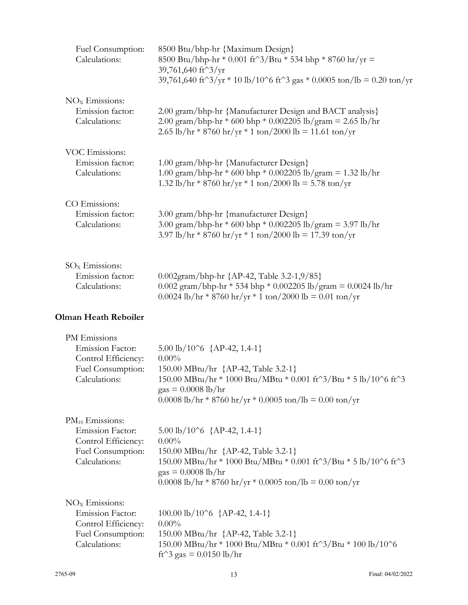| Fuel Consumption:<br>Calculations:                                                                   | 8500 Btu/bhp-hr {Maximum Design}<br>8500 Btu/bhp-hr * 0.001 ft^3/Btu * 534 bhp * 8760 hr/yr =<br>39,761,640 ft^3/yr<br>39,761,640 ft <sup><math>\gamma</math></sup> 3/yr * 10 lb/10 <sup><math>\gamma</math></sup> 6 ft <sup><math>\gamma</math></sup> 3 gas * 0.0005 ton/lb = 0.20 ton/yr |
|------------------------------------------------------------------------------------------------------|--------------------------------------------------------------------------------------------------------------------------------------------------------------------------------------------------------------------------------------------------------------------------------------------|
| $NOx$ Emissions:                                                                                     | 2.00 gram/bhp-hr {Manufacturer Design and BACT analysis}                                                                                                                                                                                                                                   |
| Emission factor:                                                                                     | 2.00 gram/bhp-hr * 600 bhp * 0.002205 lb/gram = 2.65 lb/hr                                                                                                                                                                                                                                 |
| Calculations:                                                                                        | 2.65 lb/hr * 8760 hr/yr * 1 ton/2000 lb = 11.61 ton/yr                                                                                                                                                                                                                                     |
| VOC Emissions:                                                                                       | 1.00 gram/bhp-hr {Manufacturer Design}                                                                                                                                                                                                                                                     |
| Emission factor:                                                                                     | 1.00 gram/bhp-hr * 600 bhp * 0.002205 lb/gram = 1.32 lb/hr                                                                                                                                                                                                                                 |
| Calculations:                                                                                        | 1.32 lb/hr * 8760 hr/yr * 1 ton/2000 lb = 5.78 ton/yr                                                                                                                                                                                                                                      |
| CO Emissions:                                                                                        | 3.00 gram/bhp-hr {manufacturer Design}                                                                                                                                                                                                                                                     |
| Emission factor:                                                                                     | 3.00 gram/bhp-hr * 600 bhp * 0.002205 lb/gram = 3.97 lb/hr                                                                                                                                                                                                                                 |
| Calculations:                                                                                        | 3.97 lb/hr * 8760 hr/yr * 1 ton/2000 lb = 17.39 ton/yr                                                                                                                                                                                                                                     |
| $SOx$ Emissions:                                                                                     | 0.002gram/bhp-hr {AP-42, Table 3.2-1,9/85}                                                                                                                                                                                                                                                 |
| Emission factor:                                                                                     | 0.002 gram/bhp-hr * 534 bhp * 0.002205 lb/gram = 0.0024 lb/hr                                                                                                                                                                                                                              |
| Calculations:                                                                                        | 0.0024 lb/hr * 8760 hr/yr * 1 ton/2000 lb = 0.01 ton/yr                                                                                                                                                                                                                                    |
| <b>Olman Heath Reboiler</b>                                                                          |                                                                                                                                                                                                                                                                                            |
| PM Emissions<br><b>Emission Factor:</b><br>Control Efficiency:<br>Fuel Consumption:<br>Calculations: | $5.00 \text{ lb} / 10^6$ {AP-42, 1.4-1}<br>$0.00\%$<br>150.00 MBtu/hr {AP-42, Table 3.2-1}<br>150.00 MBtu/hr * 1000 Btu/MBtu * 0.001 ft^3/Btu * 5 lb/10^6 ft^3<br>$\text{gas} = 0.0008 \text{ lb/hr}$<br>0.0008 lb/hr * 8760 hr/yr * 0.0005 ton/lb = 0.00 ton/yr                           |

PM<sub>10</sub> Emissions:

| Emission Factor:    | $5.00 \text{ lb} / 10^6$ {AP-42, 1.4-1}                          |
|---------------------|------------------------------------------------------------------|
| Control Efficiency: | $0.00\%$                                                         |
| Fuel Consumption:   | 150.00 MBtu/hr {AP-42, Table 3.2-1}                              |
| Calculations:       | 150.00 MBtu/hr * 1000 Btu/MBtu * 0.001 ft^3/Btu * 5 lb/10^6 ft^3 |
|                     | $\text{gas} = 0.0008 \text{ lb/hr}$                              |
|                     | 0.0008 lb/hr * 8760 hr/yr * 0.0005 ton/lb = 0.00 ton/yr          |
|                     |                                                                  |

| $NOx$ Emissions:    |                                                                              |
|---------------------|------------------------------------------------------------------------------|
| Emission Factor:    | 100.00 lb/10^6 ${AP-42, 1.4-1}$                                              |
| Control Efficiency: | $0.00\%$                                                                     |
| Fuel Consumption:   | 150.00 MBtu/hr {AP-42, Table 3.2-1}                                          |
| Calculations:       | $150.00$ MBtu/hr * 1000 Btu/MBtu * 0.001 ft $3/B$ tu * 100 lb/10 $\degree$ 6 |
|                     | ft <sup><math>\gamma</math></sup> 3 gas = 0.0150 lb/hr                       |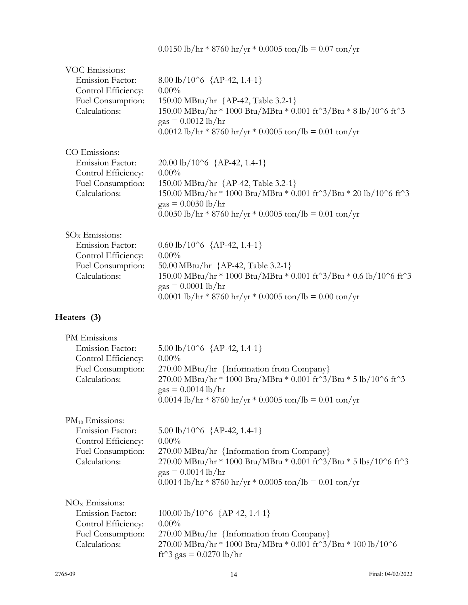| <b>VOC Emissions:</b><br><b>Emission Factor:</b><br>Control Efficiency:<br>Fuel Consumption:<br>Calculations: | 8.00 lb/10^6 ${AP-42, 1.4-1}$<br>$0.00\%$<br>150.00 MBtu/hr {AP-42, Table 3.2-1}<br>150.00 MBtu/hr * 1000 Btu/MBtu * 0.001 ft^3/Btu * 8 lb/10^6 ft^3<br>$\text{gas} = 0.0012 \text{ lb/hr}$<br>$0.0012$ lb/hr * 8760 hr/yr * 0.0005 ton/lb = 0.01 ton/yr                           |
|---------------------------------------------------------------------------------------------------------------|------------------------------------------------------------------------------------------------------------------------------------------------------------------------------------------------------------------------------------------------------------------------------------|
| CO Emissions:<br><b>Emission Factor:</b><br>Control Efficiency:<br>Fuel Consumption:<br>Calculations:         | $20.00 \text{ lb}/10^6 \text{ } \{\text{AP-42}, 1.4-1\}$<br>$0.00\%$<br>150.00 MBtu/hr {AP-42, Table 3.2-1}<br>150.00 MBtu/hr * 1000 Btu/MBtu * 0.001 ft^3/Btu * 20 lb/10^6 ft^3<br>$\text{gas} = 0.0030 \text{ lb/hr}$<br>0.0030 lb/hr * 8760 hr/yr * 0.0005 ton/lb = 0.01 ton/yr |
| $SOx$ Emissions:<br>Emission Factor:<br>Control Efficiency:<br>Fuel Consumption:<br>Calculations:             | $0.60 \text{ lb}/10^6 \text{ } \{\text{AP-42}, 1.4-1\}$<br>$0.00\%$<br>50.00 MBtu/hr {AP-42, Table 3.2-1}<br>150.00 MBtu/hr * 1000 Btu/MBtu * 0.001 ft^3/Btu * 0.6 lb/10^6 ft^3<br>$\text{gas} = 0.0001 \text{ lb/hr}$<br>0.0001 lb/hr * 8760 hr/yr * 0.0005 ton/lb = 0.00 ton/yr  |
| Heaters (3)                                                                                                   |                                                                                                                                                                                                                                                                                    |
| PM Emissions<br>Emission Factor:<br>Control Efficiency:<br>Fuel Consumption:<br>Calculations:                 | 5.00 lb/10^6 $\{AP-42, 1.4-1\}$<br>$0.00\%$<br>270.00 MBtu/hr {Information from Company}<br>270.00 MBtu/hr * 1000 Btu/MBtu * 0.001 ft^3/Btu * 5 lb/10^6 ft^3<br>$gas = 0.0014$ lb/hr<br>$0.0014$ lb/hr * 8760 hr/yr * 0.0005 ton/lb = 0.01 ton/yr                                  |

PM<sub>10</sub> Emissions:

| Emission Factor:    | $5.00 \text{ lb} / 10^6$ {AP-42, 1.4-1}                                                |
|---------------------|----------------------------------------------------------------------------------------|
| Control Efficiency: | $0.00\%$                                                                               |
| Fuel Consumption:   | 270.00 MBtu/hr {Information from Company}                                              |
| Calculations:       | 270.00 MBtu/hr $*$ 1000 Btu/MBtu $*$ 0.001 ft $3/B$ tu $*$ 5 lbs/10 $\degree$ 6 ft $3$ |
|                     | $\text{gas} = 0.0014 \text{ lb/hr}$                                                    |
|                     | $0.0014$ lb/hr * 8760 hr/yr * 0.0005 ton/lb = 0.01 ton/yr                              |
|                     |                                                                                        |

| $NOx$ Emissions:        |                                                                                         |
|-------------------------|-----------------------------------------------------------------------------------------|
| <b>Emission Factor:</b> | 100.00 lb/10^6 ${AP-42, 1.4-1}$                                                         |
| Control Efficiency:     | $0.00\%$                                                                                |
| Fuel Consumption:       | 270.00 MBtu/hr {Information from Company}                                               |
| Calculations:           | $270.00$ MBtu/hr * 1000 Btu/MBtu * 0.001 ft $\frac{3}{B}$ tu * 100 lb/10 $\frac{6}{10}$ |
|                         | ft^3 gas = $0.0270$ lb/hr                                                               |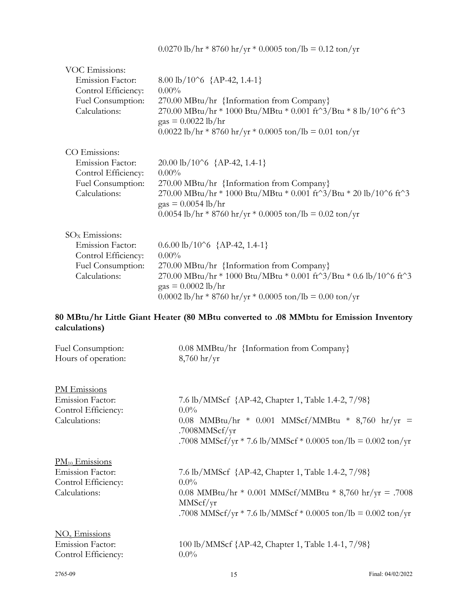|  |  | $0.0270$ lb/hr * 8760 hr/yr * 0.0005 ton/lb = 0.12 ton/yr |  |  |
|--|--|-----------------------------------------------------------|--|--|
|--|--|-----------------------------------------------------------|--|--|

| VOC Emissions:          |                                                                                                                          |
|-------------------------|--------------------------------------------------------------------------------------------------------------------------|
| <b>Emission Factor:</b> | 8.00 lb/10^6 ${AP-42, 1.4-1}$                                                                                            |
| Control Efficiency:     | $0.00\%$                                                                                                                 |
| Fuel Consumption:       | 270.00 MBtu/hr {Information from Company}                                                                                |
| Calculations:           | $270.00$ MBtu/hr * 1000 Btu/MBtu * 0.001 ft^3/Btu * 8 lb/10^6 ft^3<br>$\text{gas} = 0.0022 \text{ lb/hr}$                |
|                         | $0.0022$ lb/hr * 8760 hr/yr * 0.0005 ton/lb = 0.01 ton/yr                                                                |
| CO Emissions:           |                                                                                                                          |
| <b>Emission Factor:</b> | $20.00 \text{ lb} / 10^6$ {AP-42, 1.4-1}                                                                                 |
| Control Efficiency:     | $0.00\%$                                                                                                                 |
| Fuel Consumption:       | 270.00 MBtu/hr {Information from Company}                                                                                |
| Calculations:           | 270.00 MBtu/hr * 1000 Btu/MBtu * 0.001 ft^3/Btu * 20 lb/10^6 ft^3<br>$\text{gas} = 0.0054 \text{ lb/hr}$                 |
|                         | $0.0054$ lb/hr * 8760 hr/yr * 0.0005 ton/lb = 0.02 ton/yr                                                                |
| $SOx$ Emissions:        |                                                                                                                          |
| <b>Emission Factor:</b> | $0.6.00 \text{ lb} / 10^6 \text{ } \{\text{AP-42}, 1.4-1\}$                                                              |
| Control Efficiency:     | $0.00\%$                                                                                                                 |
| Fuel Consumption:       | 270.00 MBtu/hr {Information from Company}                                                                                |
| Calculations:           | 270.00 MBtu/hr * 1000 Btu/MBtu * 0.001 ft $3/B$ tu * 0.6 lb/10 $\degree$ 6 ft $3$<br>$\text{gas} = 0.0002 \text{ lb/hr}$ |
|                         | 0.0002 lb/hr * 8760 hr/yr * 0.0005 ton/lb = 0.00 ton/yr                                                                  |

# **80 MBtu/hr Little Giant Heater (80 MBtu converted to .08 MMbtu for Emission Inventory calculations)**

| Fuel Consumption:<br>Hours of operation:                                               | 0.08 MMBtu/hr {Information from Company}<br>$8,760$ hr/yr                                                                                                                                            |
|----------------------------------------------------------------------------------------|------------------------------------------------------------------------------------------------------------------------------------------------------------------------------------------------------|
| PM Emissions<br><b>Emission Factor:</b><br>Control Efficiency:<br>Calculations:        | 7.6 lb/MMScf {AP-42, Chapter 1, Table 1.4-2, 7/98}<br>$0.0\%$<br>0.08 MMBtu/hr * 0.001 MMScf/MMBtu * 8,760 hr/yr =<br>.7008MMScf/yr<br>.7008 MMScf/yr * 7.6 lb/MMScf * 0.0005 ton/lb = 0.002 ton/yr  |
| $PM_{10}$ Emissions<br><b>Emission Factor:</b><br>Control Efficiency:<br>Calculations: | 7.6 lb/MMScf {AP-42, Chapter 1, Table 1.4-2, 7/98}<br>$0.0\%$<br>0.08 MMBtu/hr * 0.001 MMScf/MMBtu * 8,760 hr/yr = .7008<br>MMScf/yr<br>.7008 MMScf/yr * 7.6 lb/MMScf * 0.0005 ton/lb = 0.002 ton/yr |
| $\overline{\text{NO}_x}$ Emissions<br>Emission Factor:<br>Control Efficiency:          | 100 lb/MMScf {AP-42, Chapter 1, Table 1.4-1, 7/98}<br>$0.0\%$                                                                                                                                        |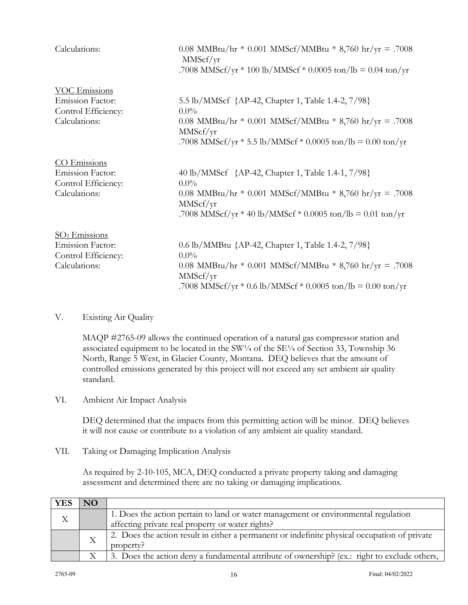| Calculations:                                                                           | 0.08 MMBtu/hr * 0.001 MMScf/MMBtu * 8,760 hr/yr = .7008<br>MMScf/yr<br>.7008 MMScf/yr * 100 lb/MMScf * 0.0005 ton/lb = 0.04 ton/yr                                                                      |
|-----------------------------------------------------------------------------------------|---------------------------------------------------------------------------------------------------------------------------------------------------------------------------------------------------------|
| <b>VOC Emissions</b><br><b>Emission Factor:</b><br>Control Efficiency:<br>Calculations: | 5.5 lb/MMScf {AP-42, Chapter 1, Table 1.4-2, 7/98}<br>$0.0\%$<br>0.08 MMBtu/hr * 0.001 MMScf/MMBtu * 8,760 hr/yr = .7008<br>MMScf/yr<br>.7008 MMScf/yr $*$ 5.5 lb/MMScf $*$ 0.0005 ton/lb = 0.00 ton/yr |
| CO Emissions<br><b>Emission Factor:</b><br>Control Efficiency:<br>Calculations:         | 40 lb/MMScf {AP-42, Chapter 1, Table 1.4-1, 7/98}<br>$0.0\%$<br>0.08 MMBtu/hr * 0.001 MMScf/MMBtu * 8,760 hr/yr = .7008<br>MMScf/yr<br>.7008 MMScf/yr * 40 lb/MMScf * 0.0005 ton/lb = 0.01 ton/yr       |
| $SO2$ Emissions<br><b>Emission Factor:</b><br>Control Efficiency:<br>Calculations:      | 0.6 lb/MMBtu {AP-42, Chapter 1, Table 1.4-2, 7/98}<br>$0.0\%$<br>0.08 MMBtu/hr * 0.001 MMScf/MMBtu * 8,760 hr/yr = .7008<br>MMScf/yr<br>.7008 MMScf/yr $*$ 0.6 lb/MMScf $*$ 0.0005 ton/lb = 0.00 ton/yr |

## V. Existing Air Quality

MAQP #2765-09 allows the continued operation of a natural gas compressor station and associated equipment to be located in the SW $\frac{1}{4}$  of the SE $\frac{1}{4}$  of Section 33, Township 36 North, Range 5 West, in Glacier County, Montana. DEQ believes that the amount of controlled emissions generated by this project will not exceed any set ambient air quality standard.

VI. Ambient Air Impact Analysis

DEQ determined that the impacts from this permitting action will be minor. DEQ believes it will not cause or contribute to a violation of any ambient air quality standard.

VII. Taking or Damaging Implication Analysis

As required by 2-10-105, MCA, DEQ conducted a private property taking and damaging assessment and determined there are no taking or damaging implications.

| <b>YES</b> | <b>NO</b> |                                                                                              |
|------------|-----------|----------------------------------------------------------------------------------------------|
| Χ          |           | 1. Does the action pertain to land or water management or environmental regulation           |
|            |           | affecting private real property or water rights?                                             |
|            |           | 2. Does the action result in either a permanent or indefinite physical occupation of private |
|            |           | property?                                                                                    |
|            |           | 3. Does the action deny a fundamental attribute of ownership? (ex.: right to exclude others, |